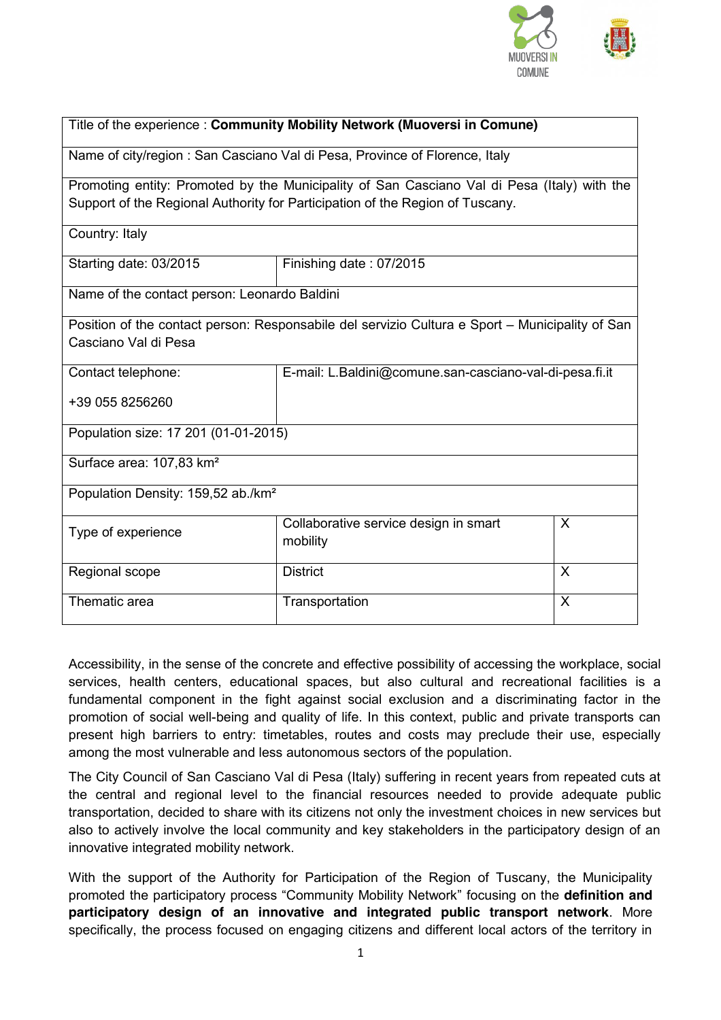

| Title of the experience: Community Mobility Network (Muoversi in Comune)                        |                                                         |   |
|-------------------------------------------------------------------------------------------------|---------------------------------------------------------|---|
| Name of city/region: San Casciano Val di Pesa, Province of Florence, Italy                      |                                                         |   |
| Promoting entity: Promoted by the Municipality of San Casciano Val di Pesa (Italy) with the     |                                                         |   |
| Support of the Regional Authority for Participation of the Region of Tuscany.                   |                                                         |   |
| Country: Italy                                                                                  |                                                         |   |
| Starting date: 03/2015                                                                          | Finishing date: 07/2015                                 |   |
| Name of the contact person: Leonardo Baldini                                                    |                                                         |   |
| Position of the contact person: Responsabile del servizio Cultura e Sport - Municipality of San |                                                         |   |
| Casciano Val di Pesa                                                                            |                                                         |   |
| Contact telephone:                                                                              | E-mail: L.Baldini@comune.san-casciano-val-di-pesa.fi.it |   |
| +39 055 8256260                                                                                 |                                                         |   |
| Population size: 17 201 (01-01-2015)                                                            |                                                         |   |
| Surface area: 107,83 km <sup>2</sup>                                                            |                                                         |   |
| Population Density: 159,52 ab./km <sup>2</sup>                                                  |                                                         |   |
| Type of experience                                                                              | Collaborative service design in smart<br>mobility       | X |
| Regional scope                                                                                  | <b>District</b>                                         | X |
| Thematic area                                                                                   | Transportation                                          | X |

Accessibility, in the sense of the concrete and effective possibility of accessing the workplace, social services, health centers, educational spaces, but also cultural and recreational facilities is a fundamental component in the fight against social exclusion and a discriminating factor in the promotion of social well-being and quality of life. In this context, public and private transports can present high barriers to entry: timetables, routes and costs may preclude their use, especially among the most vulnerable and less autonomous sectors of the population.

The City Council of San Casciano Val di Pesa (Italy) suffering in recent years from repeated cuts at the central and regional level to the financial resources needed to provide adequate public transportation, decided to share with its citizens not only the investment choices in new services but also to actively involve the local community and key stakeholders in the participatory design of an innovative integrated mobility network.

With the support of the Authority for Participation of the Region of Tuscany, the Municipality promoted the participatory process "Community Mobility Network" focusing on the **definition and participatory design of an innovative and integrated public transport network**. More specifically, the process focused on engaging citizens and different local actors of the territory in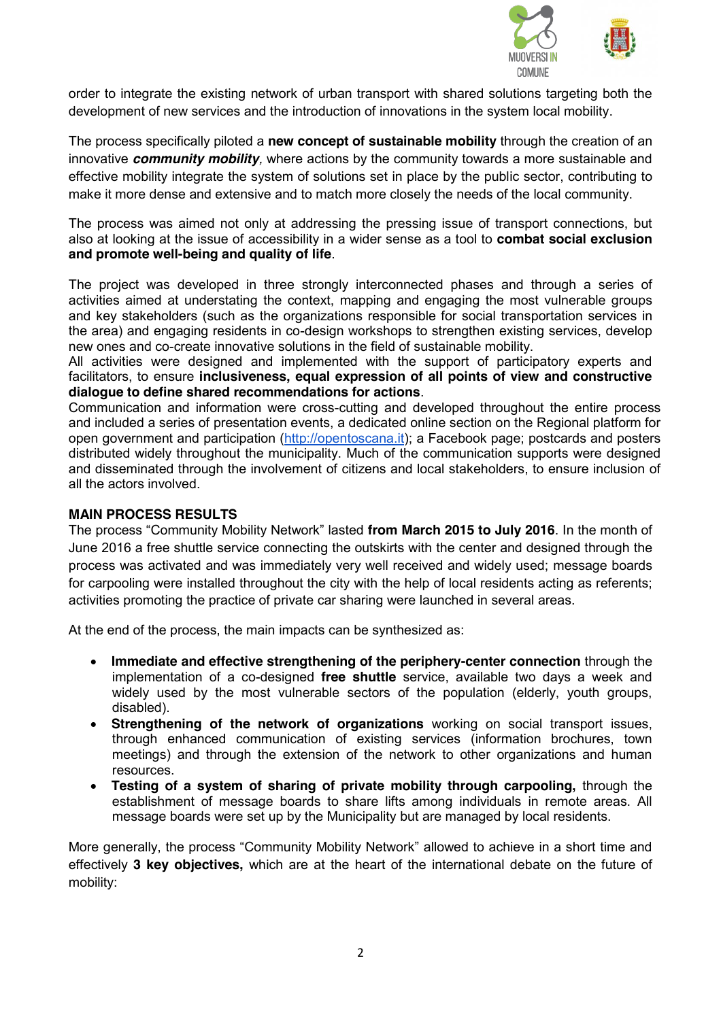

order to integrate the existing network of urban transport with shared solutions targeting both the development of new services and the introduction of innovations in the system local mobility.

The process specifically piloted a **new concept of sustainable mobility** through the creation of an innovative *community mobility,* where actions by the community towards a more sustainable and effective mobility integrate the system of solutions set in place by the public sector, contributing to make it more dense and extensive and to match more closely the needs of the local community.

The process was aimed not only at addressing the pressing issue of transport connections, but also at looking at the issue of accessibility in a wider sense as a tool to **combat social exclusion and promote well-being and quality of life**.

The project was developed in three strongly interconnected phases and through a series of activities aimed at understating the context, mapping and engaging the most vulnerable groups and key stakeholders (such as the organizations responsible for social transportation services in the area) and engaging residents in co-design workshops to strengthen existing services, develop new ones and co-create innovative solutions in the field of sustainable mobility.

All activities were designed and implemented with the support of participatory experts and facilitators, to ensure **inclusiveness, equal expression of all points of view and constructive dialogue to define shared recommendations for actions**.

Communication and information were cross-cutting and developed throughout the entire process and included a series of presentation events, a dedicated online section on the Regional platform for open government and participation (http://opentoscana.it); a Facebook page; postcards and posters distributed widely throughout the municipality. Much of the communication supports were designed and disseminated through the involvement of citizens and local stakeholders, to ensure inclusion of all the actors involved.

## **MAIN PROCESS RESULTS**

The process "Community Mobility Network" lasted **from March 2015 to July 2016**. In the month of June 2016 a free shuttle service connecting the outskirts with the center and designed through the process was activated and was immediately very well received and widely used; message boards for carpooling were installed throughout the city with the help of local residents acting as referents; activities promoting the practice of private car sharing were launched in several areas.

At the end of the process, the main impacts can be synthesized as:

- **Immediate and effective strengthening of the periphery-center connection** through the implementation of a co-designed **free shuttle** service, available two days a week and widely used by the most vulnerable sectors of the population (elderly, youth groups, disabled).
- **Example 1** Strengthening of the network of organizations working on social transport issues, through enhanced communication of existing services (information brochures, town meetings) and through the extension of the network to other organizations and human resources.
- x **Testing of a system of sharing of private mobility through carpooling,** through the establishment of message boards to share lifts among individuals in remote areas. All message boards were set up by the Municipality but are managed by local residents.

More generally, the process "Community Mobility Network" allowed to achieve in a short time and effectively **3 key objectives,** which are at the heart of the international debate on the future of mobility: